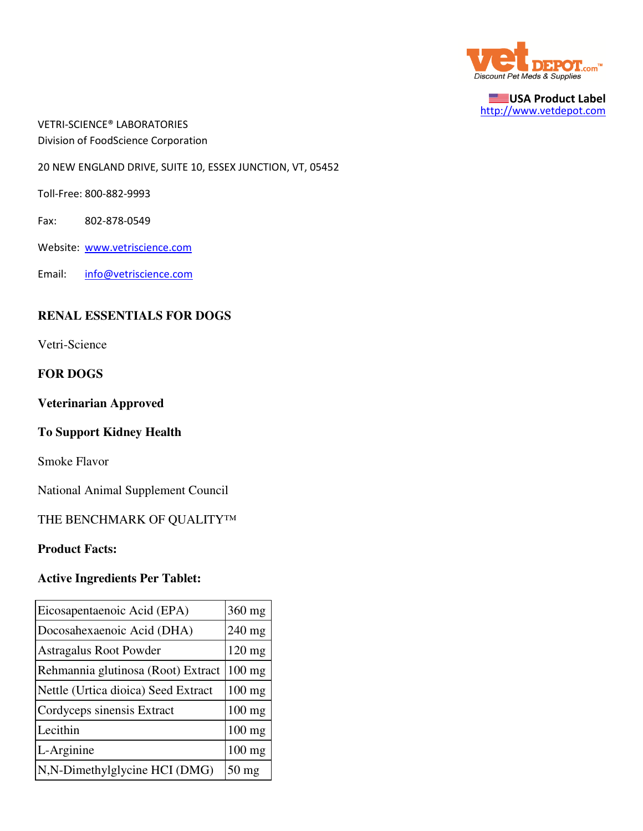

USA Product Label http://www.vetdepot.com

VETRI-SCIENCE® LABORATORIES Division of FoodScience Corporation

20 NEW ENGLAND DRIVE, SUITE 10, ESSEX JUNCTION, VT, 05452

Toll-Free: 800-882-9993

Fax: 802-878-0549

Website: www.vetriscience.com

Email: info@vetriscience.com

# **RENAL ESSENTIALS FOR DOGS**

Vetri-Science

## **FOR DOGS**

#### **Veterinarian Approved**

# **To Support Kidney Health**

Smoke Flavor

National Animal Supplement Council

THE BENCHMARK OF QUALITY™

#### **Product Facts:**

# **Active Ingredients Per Tablet:**

| Eicosapentaenoic Acid (EPA)         | 360 mg          |
|-------------------------------------|-----------------|
| Docosahexaenoic Acid (DHA)          | $240$ mg        |
| <b>Astragalus Root Powder</b>       | $120$ mg        |
| Rehmannia glutinosa (Root) Extract  | $100$ mg        |
| Nettle (Urtica dioica) Seed Extract | 100 mg          |
| Cordyceps sinensis Extract          | $100$ mg        |
| Lecithin                            | $100$ mg        |
| L-Arginine                          | $100$ mg        |
| N,N-Dimethylglycine HCI (DMG)       | $50 \text{ mg}$ |